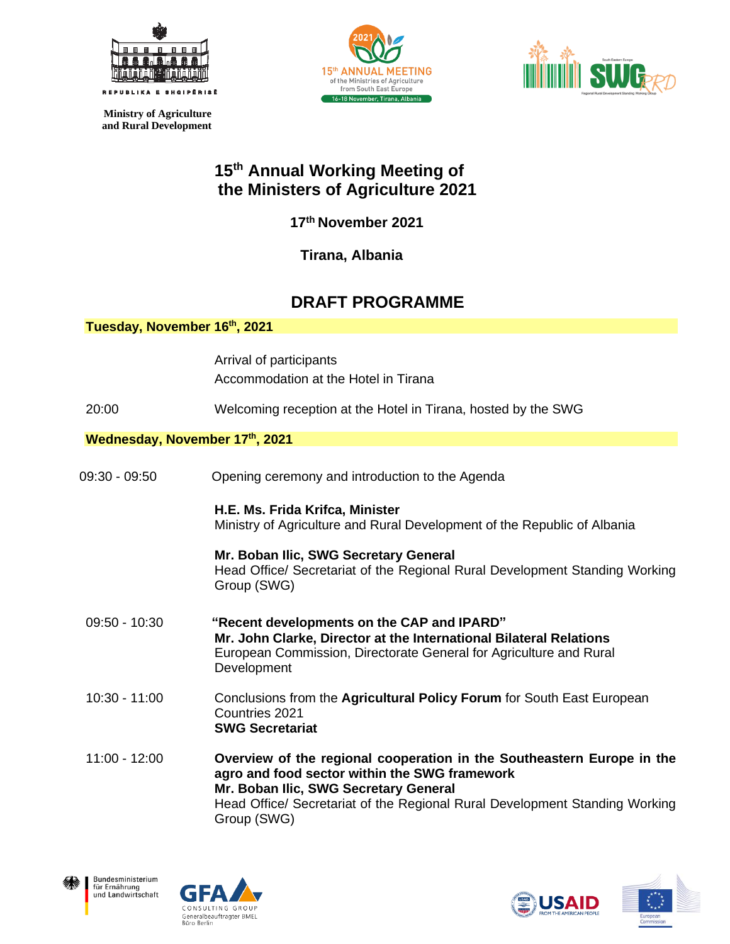

 **Ministry of Agriculture and Rural Development** 





## **15 th Annual Working Meeting of the Ministers of Agriculture 2021**

 **17th November 2021**

**Tirana, Albania**

## **DRAFT PROGRAMME**

| Tuesday, November 16th, 2021   |                                                                                                                                                                                                                                                                |
|--------------------------------|----------------------------------------------------------------------------------------------------------------------------------------------------------------------------------------------------------------------------------------------------------------|
|                                | Arrival of participants<br>Accommodation at the Hotel in Tirana                                                                                                                                                                                                |
| 20:00                          | Welcoming reception at the Hotel in Tirana, hosted by the SWG                                                                                                                                                                                                  |
| Wednesday, November 17th, 2021 |                                                                                                                                                                                                                                                                |
| 09:30 - 09:50                  | Opening ceremony and introduction to the Agenda                                                                                                                                                                                                                |
|                                | H.E. Ms. Frida Krifca, Minister<br>Ministry of Agriculture and Rural Development of the Republic of Albania                                                                                                                                                    |
|                                | Mr. Boban Ilic, SWG Secretary General<br>Head Office/ Secretariat of the Regional Rural Development Standing Working<br>Group (SWG)                                                                                                                            |
| 09:50 - 10:30                  | "Recent developments on the CAP and IPARD"<br>Mr. John Clarke, Director at the International Bilateral Relations<br>European Commission, Directorate General for Agriculture and Rural<br>Development                                                          |
| $10:30 - 11:00$                | Conclusions from the Agricultural Policy Forum for South East European<br>Countries 2021<br><b>SWG Secretariat</b>                                                                                                                                             |
| $11:00 - 12:00$                | Overview of the regional cooperation in the Southeastern Europe in the<br>agro and food sector within the SWG framework<br>Mr. Boban Ilic, SWG Secretary General<br>Head Office/ Secretariat of the Regional Rural Development Standing Working<br>Group (SWG) |